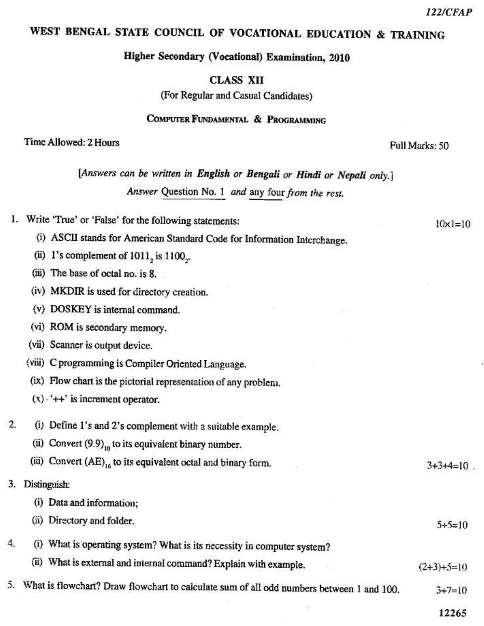$10x1=10$ 

## WEST BENGAL STATE COUNCIL OF VOCATIONAL EDUCATION & TRAINING

Higher Secondary (Vocational) Examination, 2010

**CLASS XII** 

(For Regular and Casual Candidates)

### COMPUTER FUNDAMENTAL & PROGRAMMING

#### Time Allowed: 2 Hours

Full Marks: 50

[Answers can be written in English or Bengali or Hindi or Nepali only.] Answer Question No. 1 and any four from the rest.

|  |  |  |  |  |  |  |  | 1. Write 'True' or 'False' for the following statements: |
|--|--|--|--|--|--|--|--|----------------------------------------------------------|
|--|--|--|--|--|--|--|--|----------------------------------------------------------|

- (i) ASCII stands for American Standard Code for Information Interchange.
- (ii) 1's complement of  $1011$ , is  $1100$ .
- (iii) The base of octal no. is 8.
- (iv) MKDIR is used for directory creation.
- (v) DOSKEY is internal command.
- (vi) ROM is secondary memory.
- (vii) Scanner is output device.
- (viii) C programming is Compiler Oriented Language.
- (ix) Flow chart is the pictorial representation of any problem.
- $(x)$   $+$   $+$  is increment operator.
- $2.$ (i) Define 1's and 2's complement with a suitable example.
	- (ii) Convert  $(9.9)_{10}$  to its equivalent binary number.
	- (iii) Convert (AE)<sub>16</sub> to its equivalent octal and binary form.  $3 + 3 + 4 = 10$
- 3. Distinguish:
	- (i) Data and information;
	- (ii) Directory and folder.  $5+5=10$
- 4. (i) What is operating system? What is its necessity in computer system?
	- (ii) What is external and internal command? Explain with example.  $(2+3)+5=10$
- 5. What is flowchart? Draw flowchart to calculate sum of all odd numbers between 1 and 100.  $3 + 7 = 10$

12265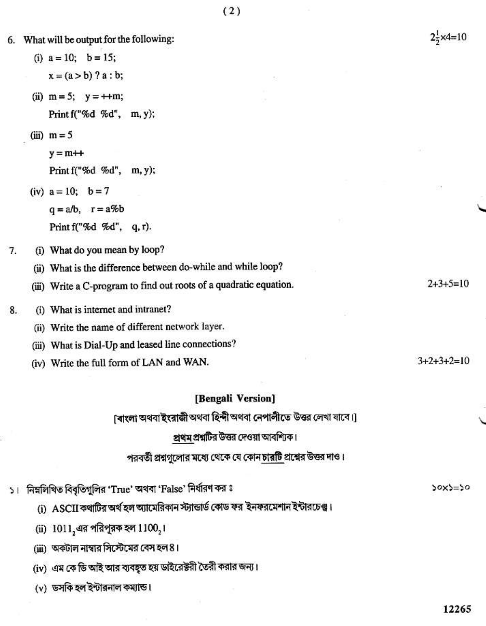|    | 6. What will be output for the following: | $2\frac{1}{2} \times 4 = 10$                                       |              |
|----|-------------------------------------------|--------------------------------------------------------------------|--------------|
|    |                                           | (i) $a = 10$ ; $b = 15$ ;                                          |              |
|    |                                           | $x = (a > b)$ ? $a : b;$                                           |              |
|    |                                           | (ii) $m = 5$ ; $y = +m$ ;                                          |              |
|    |                                           | Print f("%d %d", m, y);                                            |              |
|    |                                           | $(iii)$ m = 5                                                      |              |
|    |                                           | $y = m++$                                                          |              |
|    |                                           | Print f("%d %d", m, y);                                            |              |
|    |                                           | (iv) $a = 10$ ; $b = 7$                                            | 108          |
|    |                                           | $q = a/b$ , $r = a\%b$                                             |              |
|    |                                           | Print f("%d %d", q, r).                                            |              |
| 7. |                                           | (i) What do you mean by loop?                                      |              |
|    |                                           | (ii) What is the difference between do-while and while loop?       |              |
|    |                                           | (iii) Write a C-program to find out roots of a quadratic equation. | $2+3+5=10$   |
| 8. |                                           | (i) What is internet and intranet?                                 |              |
|    |                                           | (ii) Write the name of different network layer.                    |              |
|    |                                           | (iii) What is Dial-Up and leased line connections?                 |              |
|    |                                           | (iv) Write the full form of LAN and WAN.                           | $3+2+3+2=10$ |
|    |                                           | $m_{\text{2}} \sim 0.01$ $M_{\text{2}} \sim 1$                     |              |

#### [Bengali Version]

[বাংলা অথবা ইংরাজী অথবা হিন্দী অথবা নেপালীতে উত্তর লেখা যাবে।]

## প্রথম প্রশ্নটির উত্তর দেওয়া আবশ্যিক।

# পরবর্তী প্রশ্নগুলোর মধ্যে থেকে যে কোন চারটি প্রশ্নের উত্তর দাও।

১। নিম্নলিখিত বিবৃতিগুলির 'True' অথবা 'False' নির্ধারণ কর ঃ

(i) ASCII কথাটির অর্থ হল অ্যামেরিকান স্ট্যান্ডার্ড কোড ফর ইনফরমেশান ইন্টারচেঞ্জ।

(ii)  $1011_2$ এর পরিপূরক হল  $1100_2$ ।

(iii) অকটাল নাম্বার সিস্টেমের বেস হল 8।

(iv) এম কে ডি আই আর বাবহৃত হয় ডাইরেক্টরী তৈরী করার জন্য।

(v) ডসকি হল ইন্টারনাল কম্যান্ড।

bc=cxoc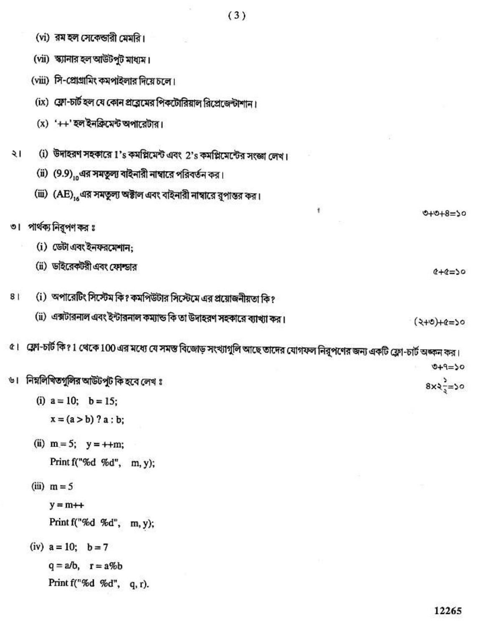|    |                                   | (vi) রম হল সেকেন্ডারী মেমরি।                                                                                             |                     |  |  |  |  |  |
|----|-----------------------------------|--------------------------------------------------------------------------------------------------------------------------|---------------------|--|--|--|--|--|
|    | (vii) স্ক্যানার হল আউটপুট মাধ্যম। |                                                                                                                          |                     |  |  |  |  |  |
|    |                                   | (viii) সি-প্রোগ্রামিং কমপাইলার দিয়ে চলে।                                                                                |                     |  |  |  |  |  |
|    |                                   | (ix) ফ্লো-চার্ট হল যে কোন প্রত্রেমের পিকটোরিয়াল রিপ্রেজেন্টাশান।                                                        |                     |  |  |  |  |  |
|    |                                   | (x) '++' হল ইনক্ৰিমেন্ট অপারেটার।                                                                                        |                     |  |  |  |  |  |
|    |                                   |                                                                                                                          |                     |  |  |  |  |  |
| ২। |                                   | (i) উদাহরণ সহকারে 1's কমপ্লিমেন্ট এবং 2's কমপ্লিমেন্টের সংজ্ঞা লেখ।                                                      |                     |  |  |  |  |  |
|    |                                   | (ii) (9.9), এর সমতুল্য বাইনারী নাম্বারে পরিবর্তন কর।                                                                     |                     |  |  |  |  |  |
|    |                                   | (iii)  (AE) <sub>16</sub> এর সমতুল্য অক্টাল এবং বাইনারী নাম্বারে রূপান্তর কর।                                            |                     |  |  |  |  |  |
|    |                                   | Ť                                                                                                                        | $0+0+8=50$          |  |  |  |  |  |
|    |                                   | ৩।   পার্থক্য নিরূপণ কর ঃ                                                                                                |                     |  |  |  |  |  |
|    |                                   | (i) ডেটা এবং ইনফরমেশান:                                                                                                  |                     |  |  |  |  |  |
|    |                                   | (ii) ডাইরেকটরী এবং ফোল্ডার                                                                                               | $01 = 20 + 2$       |  |  |  |  |  |
|    |                                   |                                                                                                                          |                     |  |  |  |  |  |
| 81 |                                   | (i) অপারেটিং সিস্টেম কি? কমপিউটার সিস্টেমে এর প্রয়োজনীয়তা কি?                                                          |                     |  |  |  |  |  |
|    |                                   | (ii) এক্সটারনাল এবং ইন্টারনাল কম্যান্ড কি তা উদাহরণ সহকারে ব্যাখ্যা কর।                                                  | $(2+0)+(e=50)$      |  |  |  |  |  |
|    |                                   | ৫। ফ্লো-চার্ট কি? 1 থেকে 100 এর মধ্যে যে সমস্ত বিজোড় সংখ্যাগুলি আছে তাদের যোগফল নিরূপণের জন্য একটি ফ্লো-চার্ট অধ্বন কর। |                     |  |  |  |  |  |
|    |                                   |                                                                                                                          | $049=50$            |  |  |  |  |  |
|    |                                   | ৬। নিম্নলিখিতগুলির আউটপুট কি হবে লেখ ঃ                                                                                   | $8x2\frac{1}{2}=50$ |  |  |  |  |  |
|    |                                   | (i) $a = 10$ ; $b = 15$ ;                                                                                                |                     |  |  |  |  |  |
|    |                                   | $x = (a > b) ? a : b;$                                                                                                   |                     |  |  |  |  |  |
|    |                                   | (ii) $m = 5$ ; $y = ++m$ ;                                                                                               |                     |  |  |  |  |  |
|    |                                   | Print f("%d %d", m, y);                                                                                                  |                     |  |  |  |  |  |
|    |                                   | (iii) $m = 5$                                                                                                            |                     |  |  |  |  |  |
|    |                                   | $y = m++$                                                                                                                |                     |  |  |  |  |  |
|    |                                   |                                                                                                                          |                     |  |  |  |  |  |
|    |                                   | Print f("%d %d", m, y);                                                                                                  |                     |  |  |  |  |  |
|    |                                   | (iv) $a = 10$ ; $b = 7$                                                                                                  |                     |  |  |  |  |  |
|    |                                   | $q = a/b$ , $r = a\%b$                                                                                                   |                     |  |  |  |  |  |
|    |                                   | Print f("%d %d", q, r).                                                                                                  |                     |  |  |  |  |  |
|    |                                   |                                                                                                                          |                     |  |  |  |  |  |

 $\mathcal{G}$